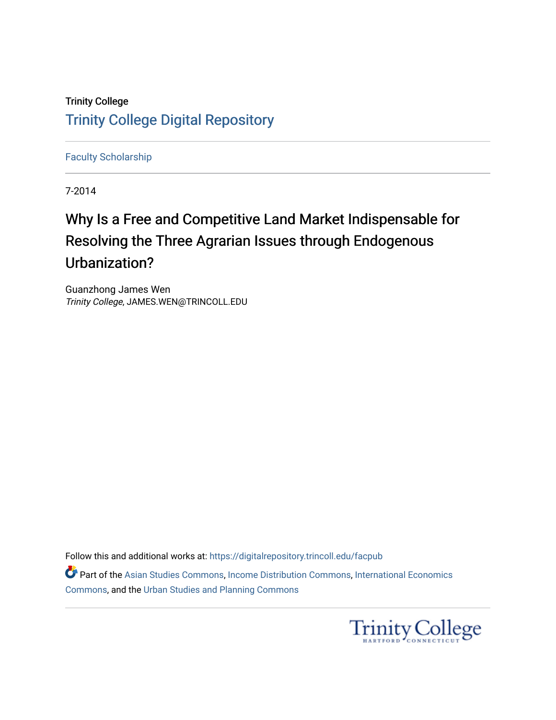# Trinity College [Trinity College Digital Repository](https://digitalrepository.trincoll.edu/)

[Faculty Scholarship](https://digitalrepository.trincoll.edu/facpub)

7-2014

# Why Is a Free and Competitive Land Market Indispensable for Resolving the Three Agrarian Issues through Endogenous Urbanization?

Guanzhong James Wen Trinity College, JAMES.WEN@TRINCOLL.EDU

Follow this and additional works at: [https://digitalrepository.trincoll.edu/facpub](https://digitalrepository.trincoll.edu/facpub?utm_source=digitalrepository.trincoll.edu%2Ffacpub%2F115&utm_medium=PDF&utm_campaign=PDFCoverPages) 

Part of the [Asian Studies Commons,](http://network.bepress.com/hgg/discipline/361?utm_source=digitalrepository.trincoll.edu%2Ffacpub%2F115&utm_medium=PDF&utm_campaign=PDFCoverPages) [Income Distribution Commons,](http://network.bepress.com/hgg/discipline/1269?utm_source=digitalrepository.trincoll.edu%2Ffacpub%2F115&utm_medium=PDF&utm_campaign=PDFCoverPages) [International Economics](http://network.bepress.com/hgg/discipline/348?utm_source=digitalrepository.trincoll.edu%2Ffacpub%2F115&utm_medium=PDF&utm_campaign=PDFCoverPages)  [Commons](http://network.bepress.com/hgg/discipline/348?utm_source=digitalrepository.trincoll.edu%2Ffacpub%2F115&utm_medium=PDF&utm_campaign=PDFCoverPages), and the [Urban Studies and Planning Commons](http://network.bepress.com/hgg/discipline/436?utm_source=digitalrepository.trincoll.edu%2Ffacpub%2F115&utm_medium=PDF&utm_campaign=PDFCoverPages)

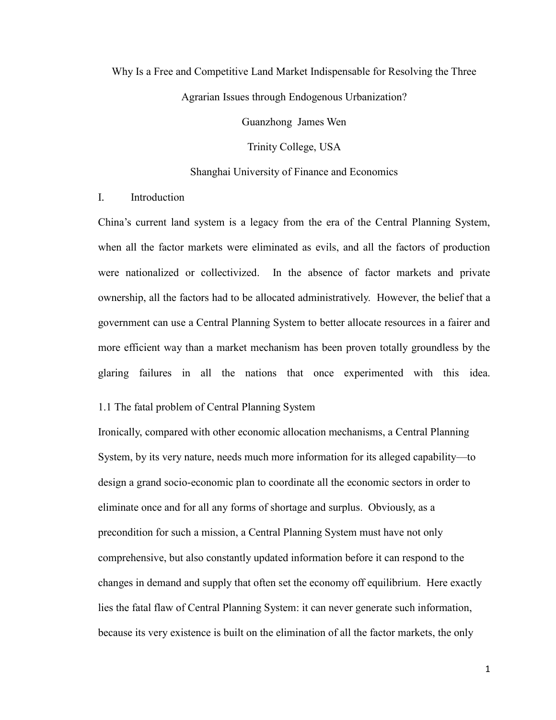# Why Is a Free and Competitive Land Market Indispensable for Resolving the Three Agrarian Issues through Endogenous Urbanization?

Guanzhong James Wen

Trinity College, USA

#### Shanghai University of Finance and Economics

# I. Introduction

China's current land system is a legacy from the era of the Central Planning System, when all the factor markets were eliminated as evils, and all the factors of production were nationalized or collectivized. In the absence of factor markets and private ownership, all the factors had to be allocated administratively. However, the belief that a government can use a Central Planning System to better allocate resources in a fairer and more efficient way than a market mechanism has been proven totally groundless by the glaring failures in all the nations that once experimented with this idea.

## 1.1 The fatal problem of Central Planning System

Ironically, compared with other economic allocation mechanisms, a Central Planning System, by its very nature, needs much more information for its alleged capability—to design a grand socio-economic plan to coordinate all the economic sectors in order to eliminate once and for all any forms of shortage and surplus. Obviously, as a precondition for such a mission, a Central Planning System must have not only comprehensive, but also constantly updated information before it can respond to the changes in demand and supply that often set the economy off equilibrium. Here exactly lies the fatal flaw of Central Planning System: it can never generate such information, because its very existence is built on the elimination of all the factor markets, the only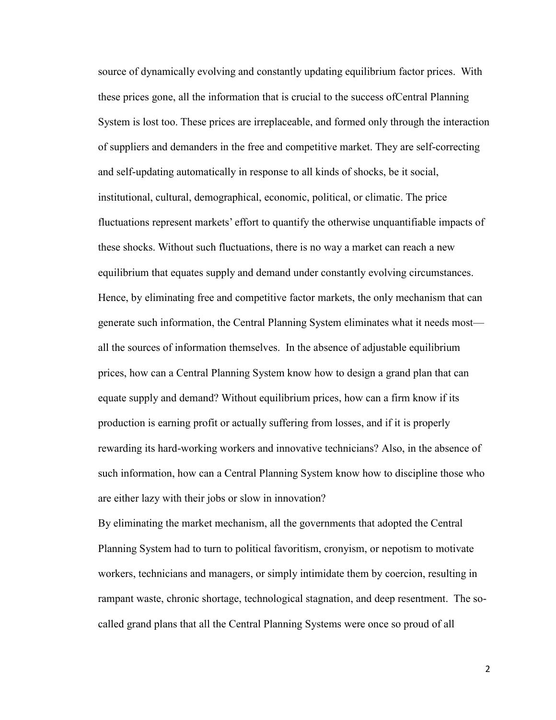source of dynamically evolving and constantly updating equilibrium factor prices. With these prices gone, all the information that is crucial to the success ofCentral Planning System is lost too. These prices are irreplaceable, and formed only through the interaction of suppliers and demanders in the free and competitive market. They are self-correcting and self-updating automatically in response to all kinds of shocks, be it social, institutional, cultural, demographical, economic, political, or climatic. The price fluctuations represent markets' effort to quantify the otherwise unquantifiable impacts of these shocks. Without such fluctuations, there is no way a market can reach a new equilibrium that equates supply and demand under constantly evolving circumstances. Hence, by eliminating free and competitive factor markets, the only mechanism that can generate such information, the Central Planning System eliminates what it needs most all the sources of information themselves. In the absence of adjustable equilibrium prices, how can a Central Planning System know how to design a grand plan that can equate supply and demand? Without equilibrium prices, how can a firm know if its production is earning profit or actually suffering from losses, and if it is properly rewarding its hard-working workers and innovative technicians? Also, in the absence of such information, how can a Central Planning System know how to discipline those who are either lazy with their jobs or slow in innovation?

By eliminating the market mechanism, all the governments that adopted the Central Planning System had to turn to political favoritism, cronyism, or nepotism to motivate workers, technicians and managers, or simply intimidate them by coercion, resulting in rampant waste, chronic shortage, technological stagnation, and deep resentment. The socalled grand plans that all the Central Planning Systems were once so proud of all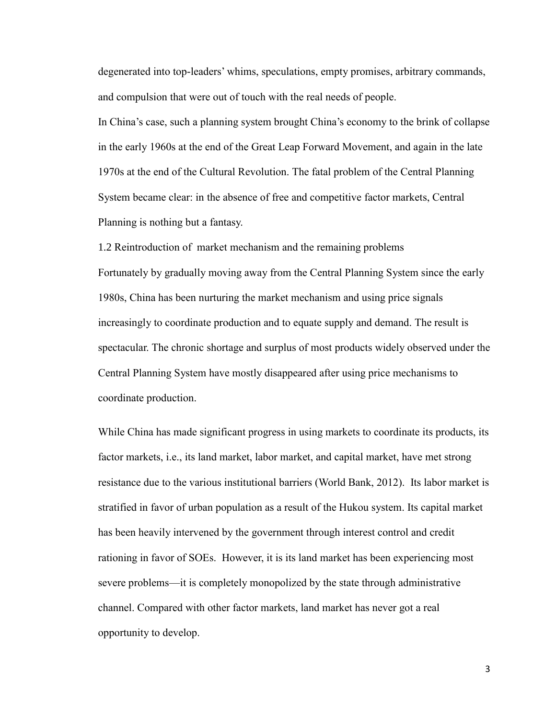degenerated into top-leaders' whims, speculations, empty promises, arbitrary commands, and compulsion that were out of touch with the real needs of people.

In China's case, such a planning system brought China's economy to the brink of collapse in the early 1960s at the end of the Great Leap Forward Movement, and again in the late 1970s at the end of the Cultural Revolution. The fatal problem of the Central Planning System became clear: in the absence of free and competitive factor markets, Central Planning is nothing but a fantasy.

1.2 Reintroduction of market mechanism and the remaining problems Fortunately by gradually moving away from the Central Planning System since the early 1980s, China has been nurturing the market mechanism and using price signals increasingly to coordinate production and to equate supply and demand. The result is spectacular. The chronic shortage and surplus of most products widely observed under the Central Planning System have mostly disappeared after using price mechanisms to coordinate production.

While China has made significant progress in using markets to coordinate its products, its factor markets, i.e., its land market, labor market, and capital market, have met strong resistance due to the various institutional barriers (World Bank, 2012). Its labor market is stratified in favor of urban population as a result of the Hukou system. Its capital market has been heavily intervened by the government through interest control and credit rationing in favor of SOEs. However, it is its land market has been experiencing most severe problems—it is completely monopolized by the state through administrative channel. Compared with other factor markets, land market has never got a real opportunity to develop.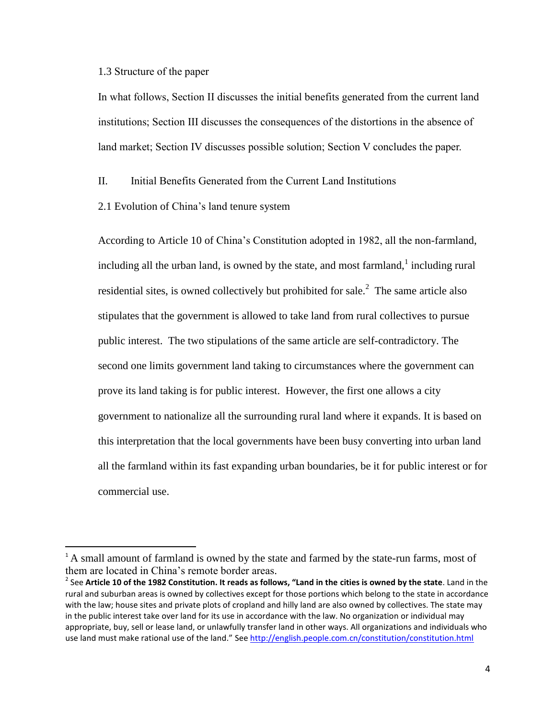1.3 Structure of the paper

 $\overline{\phantom{a}}$ 

In what follows, Section II discusses the initial benefits generated from the current land institutions; Section III discusses the consequences of the distortions in the absence of land market; Section IV discusses possible solution; Section V concludes the paper.

II. Initial Benefits Generated from the Current Land Institutions

2.1 Evolution of China's land tenure system

According to Article 10 of China's Constitution adopted in 1982, all the non-farmland, including all the urban land, is owned by the state, and most farmland,  $\frac{1}{1}$  including rural residential sites, is owned collectively but prohibited for sale.<sup>2</sup> The same article also stipulates that the government is allowed to take land from rural collectives to pursue public interest. The two stipulations of the same article are self-contradictory. The second one limits government land taking to circumstances where the government can prove its land taking is for public interest. However, the first one allows a city government to nationalize all the surrounding rural land where it expands. It is based on this interpretation that the local governments have been busy converting into urban land all the farmland within its fast expanding urban boundaries, be it for public interest or for commercial use.

<sup>&</sup>lt;sup>1</sup> A small amount of farmland is owned by the state and farmed by the state-run farms, most of them are located in China's remote border areas.

<sup>2</sup> See **Article 10 of the 1982 Constitution. It reads as follows, "Land in the cities is owned by the state**. Land in the rural and suburban areas is owned by collectives except for those portions which belong to the state in accordance with the law; house sites and private plots of cropland and hilly land are also owned by collectives. The state may in the public interest take over land for its use in accordance with the law. No organization or individual may appropriate, buy, sell or lease land, or unlawfully transfer land in other ways. All organizations and individuals who use land must make rational use of the land." Se[e http://english.people.com.cn/constitution/constitution.html](http://english.people.com.cn/constitution/constitution.html)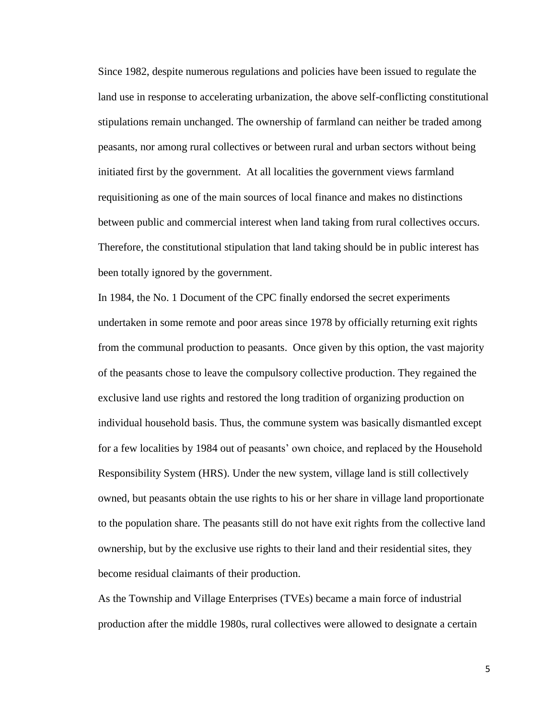Since 1982, despite numerous regulations and policies have been issued to regulate the land use in response to accelerating urbanization, the above self-conflicting constitutional stipulations remain unchanged. The ownership of farmland can neither be traded among peasants, nor among rural collectives or between rural and urban sectors without being initiated first by the government. At all localities the government views farmland requisitioning as one of the main sources of local finance and makes no distinctions between public and commercial interest when land taking from rural collectives occurs. Therefore, the constitutional stipulation that land taking should be in public interest has been totally ignored by the government.

In 1984, the No. 1 Document of the CPC finally endorsed the secret experiments undertaken in some remote and poor areas since 1978 by officially returning exit rights from the communal production to peasants. Once given by this option, the vast majority of the peasants chose to leave the compulsory collective production. They regained the exclusive land use rights and restored the long tradition of organizing production on individual household basis. Thus, the commune system was basically dismantled except for a few localities by 1984 out of peasants' own choice, and replaced by the Household Responsibility System (HRS). Under the new system, village land is still collectively owned, but peasants obtain the use rights to his or her share in village land proportionate to the population share. The peasants still do not have exit rights from the collective land ownership, but by the exclusive use rights to their land and their residential sites, they become residual claimants of their production.

As the Township and Village Enterprises (TVEs) became a main force of industrial production after the middle 1980s, rural collectives were allowed to designate a certain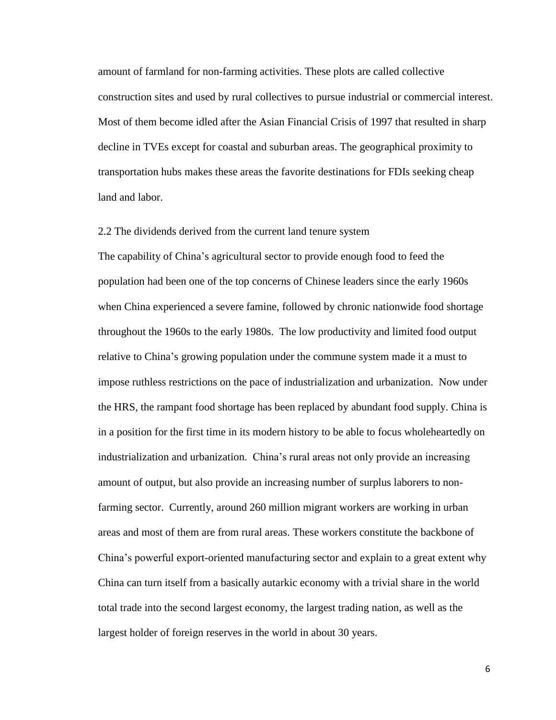amount of farmland for non-farming activities. These plots are called collective construction sites and used by rural collectives to pursue industrial or commercial interest. Most of them become idled after the Asian Financial Crisis of 1997 that resulted in sharp decline in TVEs except for coastal and suburban areas. The geographical proximity to transportation hubs makes these areas the favorite destinations for FDIs seeking cheap land and labor.

## 2.2 The dividends derived from the current land tenure system

The capability of China's agricultural sector to provide enough food to feed the population had been one of the top concerns of Chinese leaders since the early 1960s when China experienced a severe famine, followed by chronic nationwide food shortage throughout the 1960s to the early 1980s. The low productivity and limited food output relative to China's growing population under the commune system made it a must to impose ruthless restrictions on the pace of industrialization and urbanization. Now under the HRS, the rampant food shortage has been replaced by abundant food supply. China is in a position for the first time in its modern history to be able to focus wholeheartedly on industrialization and urbanization. China's rural areas not only provide an increasing amount of output, but also provide an increasing number of surplus laborers to nonfarming sector. Currently, around 260 million migrant workers are working in urban areas and most of them are from rural areas. These workers constitute the backbone of China's powerful export-oriented manufacturing sector and explain to a great extent why China can turn itself from a basically autarkic economy with a trivial share in the world total trade into the second largest economy, the largest trading nation, as well as the largest holder of foreign reserves in the world in about 30 years.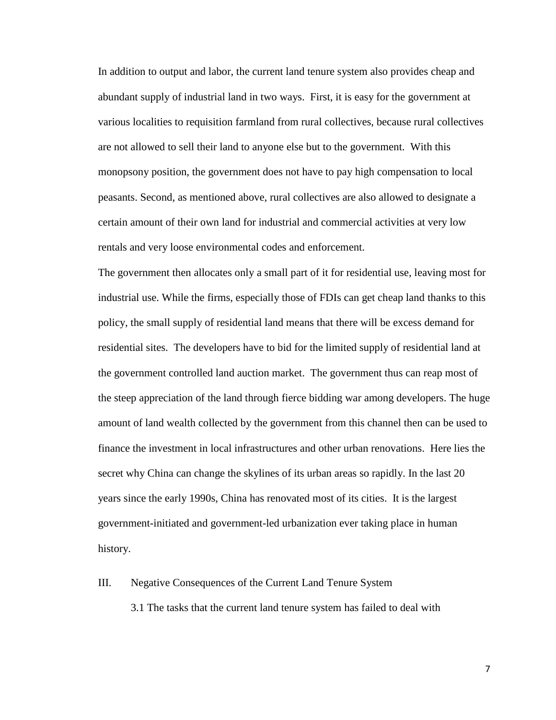In addition to output and labor, the current land tenure system also provides cheap and abundant supply of industrial land in two ways. First, it is easy for the government at various localities to requisition farmland from rural collectives, because rural collectives are not allowed to sell their land to anyone else but to the government. With this monopsony position, the government does not have to pay high compensation to local peasants. Second, as mentioned above, rural collectives are also allowed to designate a certain amount of their own land for industrial and commercial activities at very low rentals and very loose environmental codes and enforcement.

The government then allocates only a small part of it for residential use, leaving most for industrial use. While the firms, especially those of FDIs can get cheap land thanks to this policy, the small supply of residential land means that there will be excess demand for residential sites. The developers have to bid for the limited supply of residential land at the government controlled land auction market. The government thus can reap most of the steep appreciation of the land through fierce bidding war among developers. The huge amount of land wealth collected by the government from this channel then can be used to finance the investment in local infrastructures and other urban renovations. Here lies the secret why China can change the skylines of its urban areas so rapidly. In the last 20 years since the early 1990s, China has renovated most of its cities. It is the largest government-initiated and government-led urbanization ever taking place in human history.

### III. Negative Consequences of the Current Land Tenure System

3.1 The tasks that the current land tenure system has failed to deal with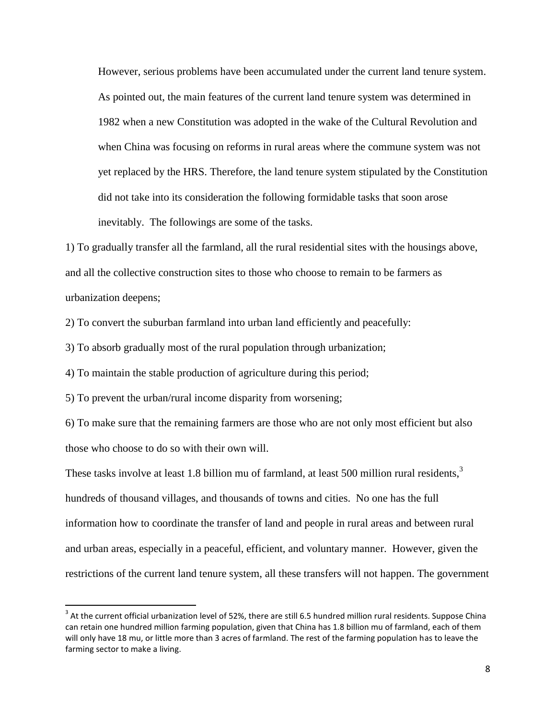However, serious problems have been accumulated under the current land tenure system. As pointed out, the main features of the current land tenure system was determined in 1982 when a new Constitution was adopted in the wake of the Cultural Revolution and when China was focusing on reforms in rural areas where the commune system was not yet replaced by the HRS. Therefore, the land tenure system stipulated by the Constitution did not take into its consideration the following formidable tasks that soon arose inevitably. The followings are some of the tasks.

1) To gradually transfer all the farmland, all the rural residential sites with the housings above, and all the collective construction sites to those who choose to remain to be farmers as urbanization deepens;

2) To convert the suburban farmland into urban land efficiently and peacefully:

3) To absorb gradually most of the rural population through urbanization;

4) To maintain the stable production of agriculture during this period;

5) To prevent the urban/rural income disparity from worsening;

 $\overline{a}$ 

6) To make sure that the remaining farmers are those who are not only most efficient but also those who choose to do so with their own will.

These tasks involve at least 1.8 billion mu of farmland, at least 500 million rural residents, $3$ hundreds of thousand villages, and thousands of towns and cities. No one has the full information how to coordinate the transfer of land and people in rural areas and between rural and urban areas, especially in a peaceful, efficient, and voluntary manner. However, given the restrictions of the current land tenure system, all these transfers will not happen. The government

 $3$  At the current official urbanization level of 52%, there are still 6.5 hundred million rural residents. Suppose China can retain one hundred million farming population, given that China has 1.8 billion mu of farmland, each of them will only have 18 mu, or little more than 3 acres of farmland. The rest of the farming population has to leave the farming sector to make a living.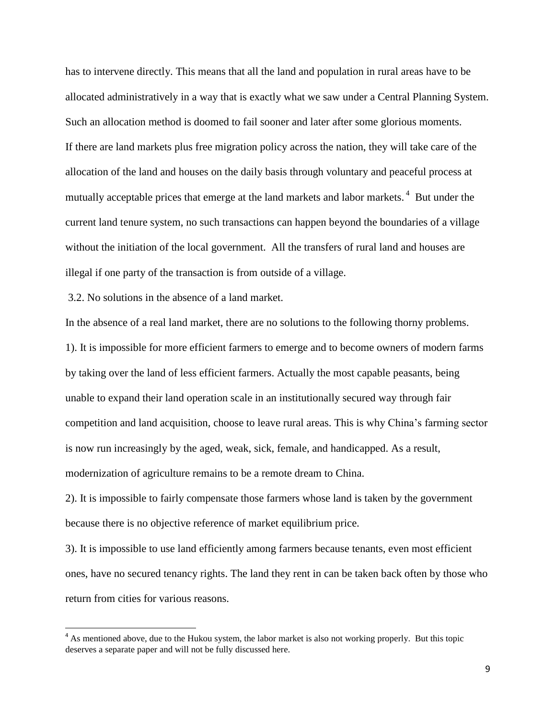has to intervene directly. This means that all the land and population in rural areas have to be allocated administratively in a way that is exactly what we saw under a Central Planning System. Such an allocation method is doomed to fail sooner and later after some glorious moments. If there are land markets plus free migration policy across the nation, they will take care of the allocation of the land and houses on the daily basis through voluntary and peaceful process at mutually acceptable prices that emerge at the land markets and labor markets.<sup>4</sup> But under the current land tenure system, no such transactions can happen beyond the boundaries of a village without the initiation of the local government. All the transfers of rural land and houses are illegal if one party of the transaction is from outside of a village.

3.2. No solutions in the absence of a land market.

l

In the absence of a real land market, there are no solutions to the following thorny problems. 1). It is impossible for more efficient farmers to emerge and to become owners of modern farms by taking over the land of less efficient farmers. Actually the most capable peasants, being unable to expand their land operation scale in an institutionally secured way through fair competition and land acquisition, choose to leave rural areas. This is why China's farming sector is now run increasingly by the aged, weak, sick, female, and handicapped. As a result, modernization of agriculture remains to be a remote dream to China.

2). It is impossible to fairly compensate those farmers whose land is taken by the government because there is no objective reference of market equilibrium price.

3). It is impossible to use land efficiently among farmers because tenants, even most efficient ones, have no secured tenancy rights. The land they rent in can be taken back often by those who return from cities for various reasons.

<sup>&</sup>lt;sup>4</sup> As mentioned above, due to the Hukou system, the labor market is also not working properly. But this topic deserves a separate paper and will not be fully discussed here.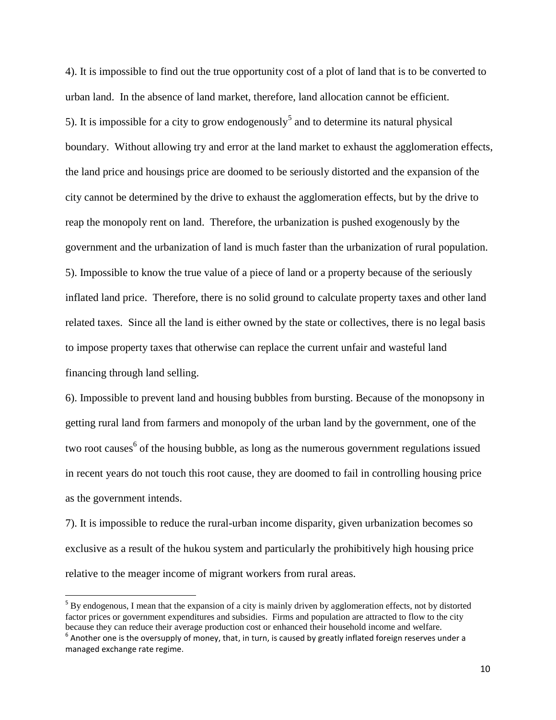4). It is impossible to find out the true opportunity cost of a plot of land that is to be converted to urban land. In the absence of land market, therefore, land allocation cannot be efficient. 5). It is impossible for a city to grow endogenously<sup>5</sup> and to determine its natural physical boundary. Without allowing try and error at the land market to exhaust the agglomeration effects, the land price and housings price are doomed to be seriously distorted and the expansion of the city cannot be determined by the drive to exhaust the agglomeration effects, but by the drive to reap the monopoly rent on land. Therefore, the urbanization is pushed exogenously by the government and the urbanization of land is much faster than the urbanization of rural population. 5). Impossible to know the true value of a piece of land or a property because of the seriously inflated land price. Therefore, there is no solid ground to calculate property taxes and other land related taxes. Since all the land is either owned by the state or collectives, there is no legal basis to impose property taxes that otherwise can replace the current unfair and wasteful land financing through land selling.

6). Impossible to prevent land and housing bubbles from bursting. Because of the monopsony in getting rural land from farmers and monopoly of the urban land by the government, one of the two root causes<sup>6</sup> of the housing bubble, as long as the numerous government regulations issued in recent years do not touch this root cause, they are doomed to fail in controlling housing price as the government intends.

7). It is impossible to reduce the rural-urban income disparity, given urbanization becomes so exclusive as a result of the hukou system and particularly the prohibitively high housing price relative to the meager income of migrant workers from rural areas.

l

 $5$  By endogenous, I mean that the expansion of a city is mainly driven by agglomeration effects, not by distorted factor prices or government expenditures and subsidies. Firms and population are attracted to flow to the city because they can reduce their average production cost or enhanced their household income and welfare.

 $^6$  Another one is the oversupply of money, that, in turn, is caused by greatly inflated foreign reserves under a managed exchange rate regime.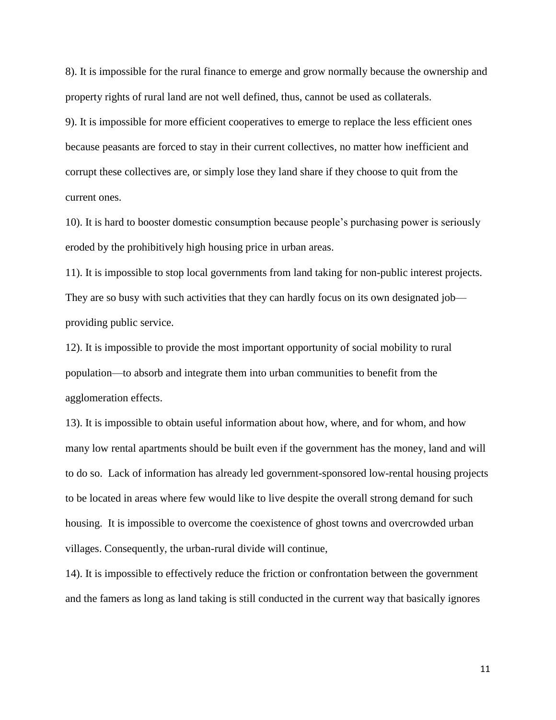8). It is impossible for the rural finance to emerge and grow normally because the ownership and property rights of rural land are not well defined, thus, cannot be used as collaterals.

9). It is impossible for more efficient cooperatives to emerge to replace the less efficient ones because peasants are forced to stay in their current collectives, no matter how inefficient and corrupt these collectives are, or simply lose they land share if they choose to quit from the current ones.

10). It is hard to booster domestic consumption because people's purchasing power is seriously eroded by the prohibitively high housing price in urban areas.

11). It is impossible to stop local governments from land taking for non-public interest projects. They are so busy with such activities that they can hardly focus on its own designated job providing public service.

12). It is impossible to provide the most important opportunity of social mobility to rural population—to absorb and integrate them into urban communities to benefit from the agglomeration effects.

13). It is impossible to obtain useful information about how, where, and for whom, and how many low rental apartments should be built even if the government has the money, land and will to do so. Lack of information has already led government-sponsored low-rental housing projects to be located in areas where few would like to live despite the overall strong demand for such housing. It is impossible to overcome the coexistence of ghost towns and overcrowded urban villages. Consequently, the urban-rural divide will continue,

14). It is impossible to effectively reduce the friction or confrontation between the government and the famers as long as land taking is still conducted in the current way that basically ignores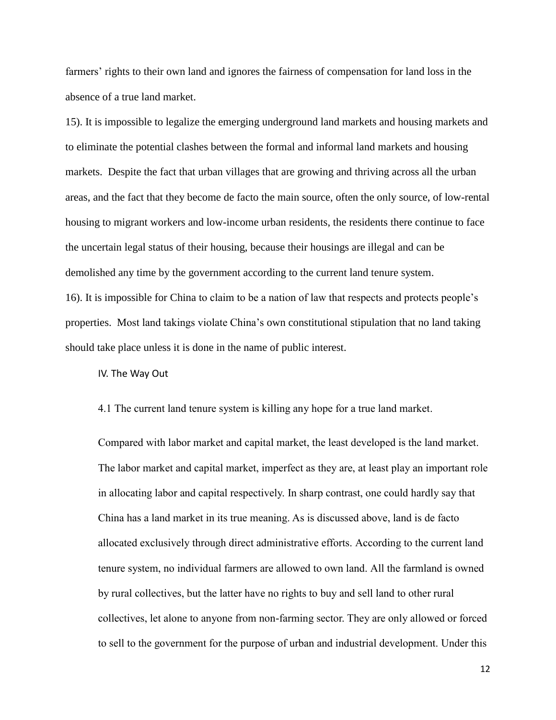farmers' rights to their own land and ignores the fairness of compensation for land loss in the absence of a true land market.

15). It is impossible to legalize the emerging underground land markets and housing markets and to eliminate the potential clashes between the formal and informal land markets and housing markets. Despite the fact that urban villages that are growing and thriving across all the urban areas, and the fact that they become de facto the main source, often the only source, of low-rental housing to migrant workers and low-income urban residents, the residents there continue to face the uncertain legal status of their housing, because their housings are illegal and can be demolished any time by the government according to the current land tenure system. 16). It is impossible for China to claim to be a nation of law that respects and protects people's properties. Most land takings violate China's own constitutional stipulation that no land taking

should take place unless it is done in the name of public interest.

IV. The Way Out

4.1 The current land tenure system is killing any hope for a true land market.

Compared with labor market and capital market, the least developed is the land market. The labor market and capital market, imperfect as they are, at least play an important role in allocating labor and capital respectively. In sharp contrast, one could hardly say that China has a land market in its true meaning. As is discussed above, land is de facto allocated exclusively through direct administrative efforts. According to the current land tenure system, no individual farmers are allowed to own land. All the farmland is owned by rural collectives, but the latter have no rights to buy and sell land to other rural collectives, let alone to anyone from non-farming sector. They are only allowed or forced to sell to the government for the purpose of urban and industrial development. Under this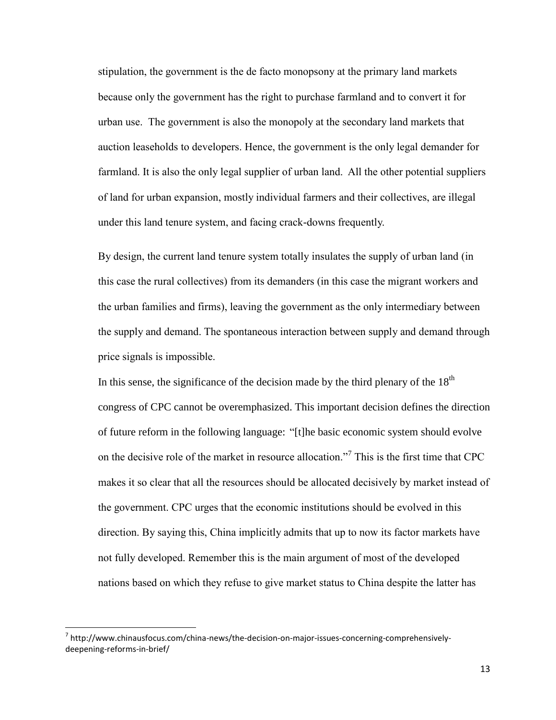stipulation, the government is the de facto monopsony at the primary land markets because only the government has the right to purchase farmland and to convert it for urban use. The government is also the monopoly at the secondary land markets that auction leaseholds to developers. Hence, the government is the only legal demander for farmland. It is also the only legal supplier of urban land. All the other potential suppliers of land for urban expansion, mostly individual farmers and their collectives, are illegal under this land tenure system, and facing crack-downs frequently.

By design, the current land tenure system totally insulates the supply of urban land (in this case the rural collectives) from its demanders (in this case the migrant workers and the urban families and firms), leaving the government as the only intermediary between the supply and demand. The spontaneous interaction between supply and demand through price signals is impossible.

In this sense, the significance of the decision made by the third plenary of the  $18<sup>th</sup>$ congress of CPC cannot be overemphasized. This important decision defines the direction of future reform in the following language: "[t]he basic economic system should evolve on the decisive role of the market in resource allocation."<sup>7</sup> This is the first time that CPC makes it so clear that all the resources should be allocated decisively by market instead of the government. CPC urges that the economic institutions should be evolved in this direction. By saying this, China implicitly admits that up to now its factor markets have not fully developed. Remember this is the main argument of most of the developed nations based on which they refuse to give market status to China despite the latter has

l

<sup>&</sup>lt;sup>7</sup> http://www.chinausfocus.com/china-news/the-decision-on-major-issues-concerning-comprehensivelydeepening-reforms-in-brief/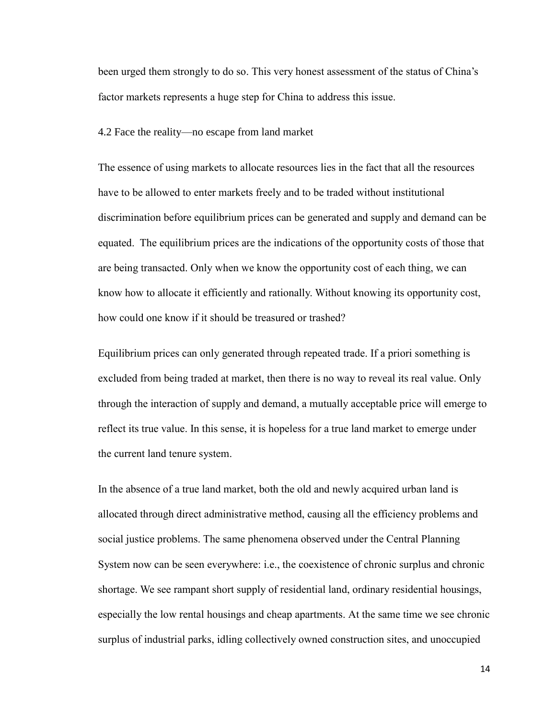been urged them strongly to do so. This very honest assessment of the status of China's factor markets represents a huge step for China to address this issue.

4.2 Face the reality—no escape from land market

The essence of using markets to allocate resources lies in the fact that all the resources have to be allowed to enter markets freely and to be traded without institutional discrimination before equilibrium prices can be generated and supply and demand can be equated. The equilibrium prices are the indications of the opportunity costs of those that are being transacted. Only when we know the opportunity cost of each thing, we can know how to allocate it efficiently and rationally. Without knowing its opportunity cost, how could one know if it should be treasured or trashed?

Equilibrium prices can only generated through repeated trade. If a priori something is excluded from being traded at market, then there is no way to reveal its real value. Only through the interaction of supply and demand, a mutually acceptable price will emerge to reflect its true value. In this sense, it is hopeless for a true land market to emerge under the current land tenure system.

In the absence of a true land market, both the old and newly acquired urban land is allocated through direct administrative method, causing all the efficiency problems and social justice problems. The same phenomena observed under the Central Planning System now can be seen everywhere: i.e., the coexistence of chronic surplus and chronic shortage. We see rampant short supply of residential land, ordinary residential housings, especially the low rental housings and cheap apartments. At the same time we see chronic surplus of industrial parks, idling collectively owned construction sites, and unoccupied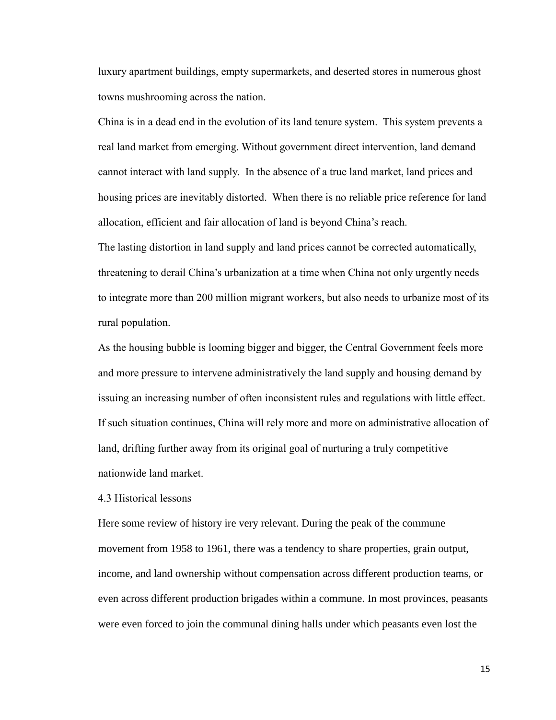luxury apartment buildings, empty supermarkets, and deserted stores in numerous ghost towns mushrooming across the nation.

China is in a dead end in the evolution of its land tenure system. This system prevents a real land market from emerging. Without government direct intervention, land demand cannot interact with land supply. In the absence of a true land market, land prices and housing prices are inevitably distorted. When there is no reliable price reference for land allocation, efficient and fair allocation of land is beyond China's reach.

The lasting distortion in land supply and land prices cannot be corrected automatically, threatening to derail China's urbanization at a time when China not only urgently needs to integrate more than 200 million migrant workers, but also needs to urbanize most of its rural population.

As the housing bubble is looming bigger and bigger, the Central Government feels more and more pressure to intervene administratively the land supply and housing demand by issuing an increasing number of often inconsistent rules and regulations with little effect. If such situation continues, China will rely more and more on administrative allocation of land, drifting further away from its original goal of nurturing a truly competitive nationwide land market.

4.3 Historical lessons

Here some review of history ire very relevant. During the peak of the commune movement from 1958 to 1961, there was a tendency to share properties, grain output, income, and land ownership without compensation across different production teams, or even across different production brigades within a commune. In most provinces, peasants were even forced to join the communal dining halls under which peasants even lost the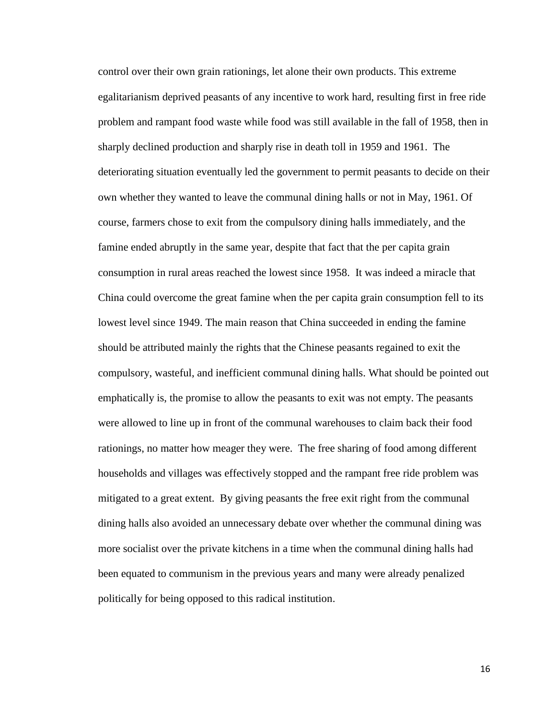control over their own grain rationings, let alone their own products. This extreme egalitarianism deprived peasants of any incentive to work hard, resulting first in free ride problem and rampant food waste while food was still available in the fall of 1958, then in sharply declined production and sharply rise in death toll in 1959 and 1961. The deteriorating situation eventually led the government to permit peasants to decide on their own whether they wanted to leave the communal dining halls or not in May, 1961. Of course, farmers chose to exit from the compulsory dining halls immediately, and the famine ended abruptly in the same year, despite that fact that the per capita grain consumption in rural areas reached the lowest since 1958. It was indeed a miracle that China could overcome the great famine when the per capita grain consumption fell to its lowest level since 1949. The main reason that China succeeded in ending the famine should be attributed mainly the rights that the Chinese peasants regained to exit the compulsory, wasteful, and inefficient communal dining halls. What should be pointed out emphatically is, the promise to allow the peasants to exit was not empty. The peasants were allowed to line up in front of the communal warehouses to claim back their food rationings, no matter how meager they were. The free sharing of food among different households and villages was effectively stopped and the rampant free ride problem was mitigated to a great extent. By giving peasants the free exit right from the communal dining halls also avoided an unnecessary debate over whether the communal dining was more socialist over the private kitchens in a time when the communal dining halls had been equated to communism in the previous years and many were already penalized politically for being opposed to this radical institution.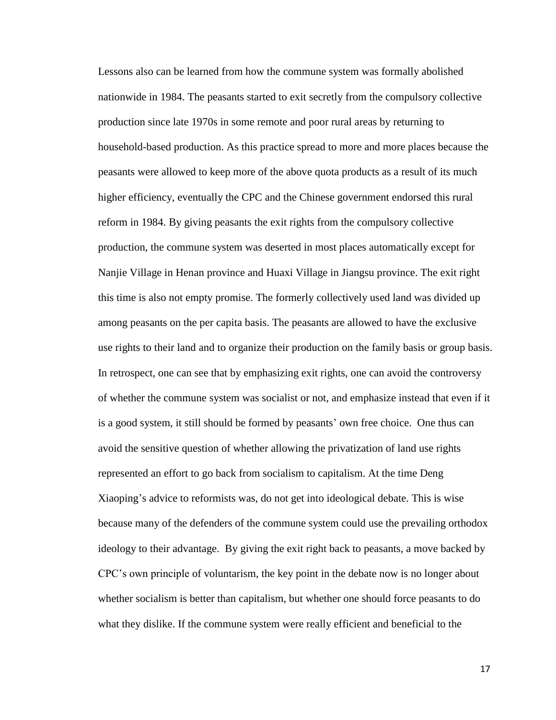Lessons also can be learned from how the commune system was formally abolished nationwide in 1984. The peasants started to exit secretly from the compulsory collective production since late 1970s in some remote and poor rural areas by returning to household-based production. As this practice spread to more and more places because the peasants were allowed to keep more of the above quota products as a result of its much higher efficiency, eventually the CPC and the Chinese government endorsed this rural reform in 1984. By giving peasants the exit rights from the compulsory collective production, the commune system was deserted in most places automatically except for Nanjie Village in Henan province and Huaxi Village in Jiangsu province. The exit right this time is also not empty promise. The formerly collectively used land was divided up among peasants on the per capita basis. The peasants are allowed to have the exclusive use rights to their land and to organize their production on the family basis or group basis. In retrospect, one can see that by emphasizing exit rights, one can avoid the controversy of whether the commune system was socialist or not, and emphasize instead that even if it is a good system, it still should be formed by peasants' own free choice. One thus can avoid the sensitive question of whether allowing the privatization of land use rights represented an effort to go back from socialism to capitalism. At the time Deng Xiaoping's advice to reformists was, do not get into ideological debate. This is wise because many of the defenders of the commune system could use the prevailing orthodox ideology to their advantage. By giving the exit right back to peasants, a move backed by CPC's own principle of voluntarism, the key point in the debate now is no longer about whether socialism is better than capitalism, but whether one should force peasants to do what they dislike. If the commune system were really efficient and beneficial to the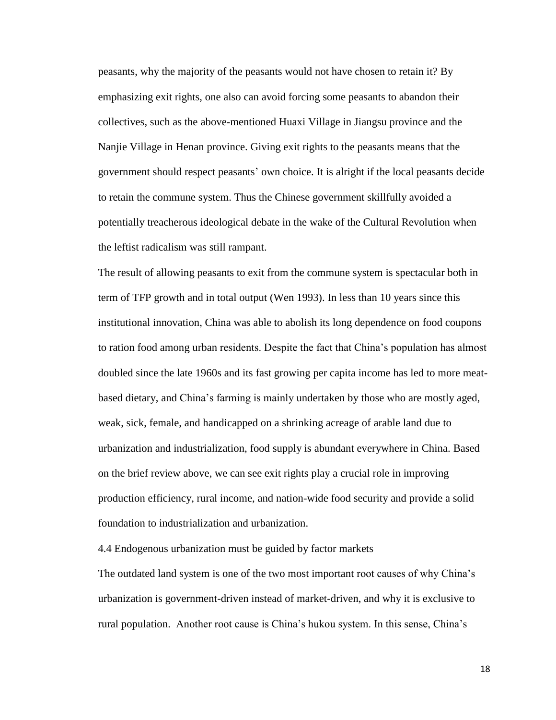peasants, why the majority of the peasants would not have chosen to retain it? By emphasizing exit rights, one also can avoid forcing some peasants to abandon their collectives, such as the above-mentioned Huaxi Village in Jiangsu province and the Nanjie Village in Henan province. Giving exit rights to the peasants means that the government should respect peasants' own choice. It is alright if the local peasants decide to retain the commune system. Thus the Chinese government skillfully avoided a potentially treacherous ideological debate in the wake of the Cultural Revolution when the leftist radicalism was still rampant.

The result of allowing peasants to exit from the commune system is spectacular both in term of TFP growth and in total output (Wen 1993). In less than 10 years since this institutional innovation, China was able to abolish its long dependence on food coupons to ration food among urban residents. Despite the fact that China's population has almost doubled since the late 1960s and its fast growing per capita income has led to more meatbased dietary, and China's farming is mainly undertaken by those who are mostly aged, weak, sick, female, and handicapped on a shrinking acreage of arable land due to urbanization and industrialization, food supply is abundant everywhere in China. Based on the brief review above, we can see exit rights play a crucial role in improving production efficiency, rural income, and nation-wide food security and provide a solid foundation to industrialization and urbanization.

4.4 Endogenous urbanization must be guided by factor markets

The outdated land system is one of the two most important root causes of why China's urbanization is government-driven instead of market-driven, and why it is exclusive to rural population. Another root cause is China's hukou system. In this sense, China's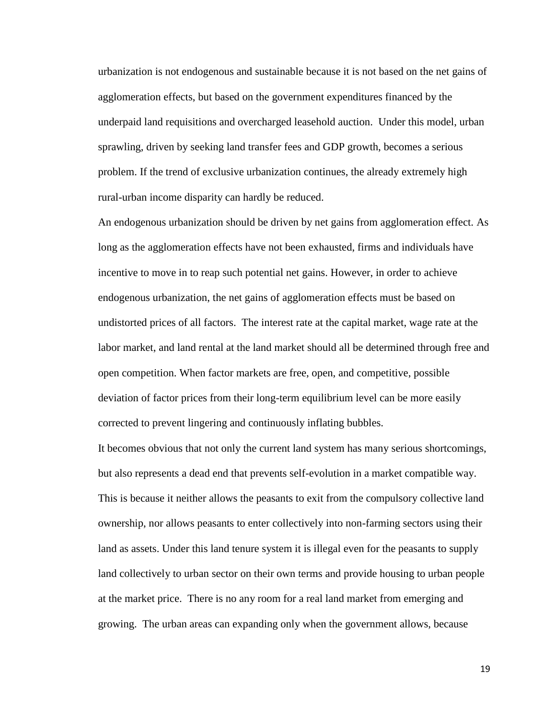urbanization is not endogenous and sustainable because it is not based on the net gains of agglomeration effects, but based on the government expenditures financed by the underpaid land requisitions and overcharged leasehold auction. Under this model, urban sprawling, driven by seeking land transfer fees and GDP growth, becomes a serious problem. If the trend of exclusive urbanization continues, the already extremely high rural-urban income disparity can hardly be reduced.

An endogenous urbanization should be driven by net gains from agglomeration effect. As long as the agglomeration effects have not been exhausted, firms and individuals have incentive to move in to reap such potential net gains. However, in order to achieve endogenous urbanization, the net gains of agglomeration effects must be based on undistorted prices of all factors. The interest rate at the capital market, wage rate at the labor market, and land rental at the land market should all be determined through free and open competition. When factor markets are free, open, and competitive, possible deviation of factor prices from their long-term equilibrium level can be more easily corrected to prevent lingering and continuously inflating bubbles.

It becomes obvious that not only the current land system has many serious shortcomings, but also represents a dead end that prevents self-evolution in a market compatible way. This is because it neither allows the peasants to exit from the compulsory collective land ownership, nor allows peasants to enter collectively into non-farming sectors using their land as assets. Under this land tenure system it is illegal even for the peasants to supply land collectively to urban sector on their own terms and provide housing to urban people at the market price. There is no any room for a real land market from emerging and growing. The urban areas can expanding only when the government allows, because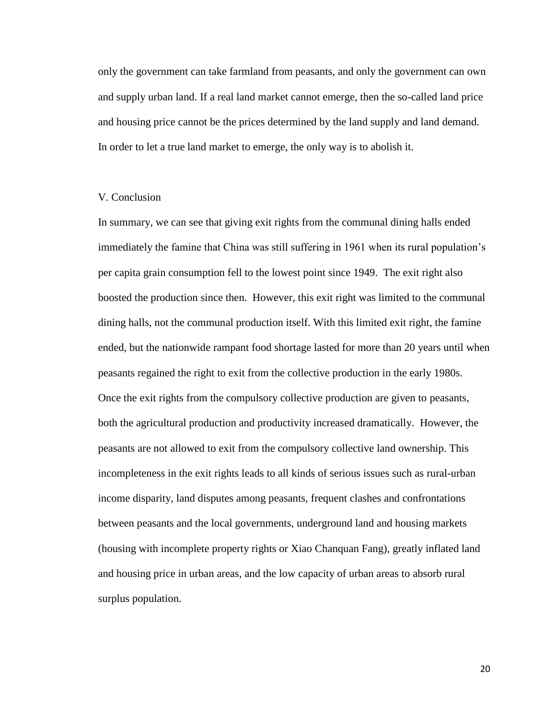only the government can take farmland from peasants, and only the government can own and supply urban land. If a real land market cannot emerge, then the so-called land price and housing price cannot be the prices determined by the land supply and land demand. In order to let a true land market to emerge, the only way is to abolish it.

### V. Conclusion

In summary, we can see that giving exit rights from the communal dining halls ended immediately the famine that China was still suffering in 1961 when its rural population's per capita grain consumption fell to the lowest point since 1949. The exit right also boosted the production since then. However, this exit right was limited to the communal dining halls, not the communal production itself. With this limited exit right, the famine ended, but the nationwide rampant food shortage lasted for more than 20 years until when peasants regained the right to exit from the collective production in the early 1980s. Once the exit rights from the compulsory collective production are given to peasants, both the agricultural production and productivity increased dramatically. However, the peasants are not allowed to exit from the compulsory collective land ownership. This incompleteness in the exit rights leads to all kinds of serious issues such as rural-urban income disparity, land disputes among peasants, frequent clashes and confrontations between peasants and the local governments, underground land and housing markets (housing with incomplete property rights or Xiao Chanquan Fang), greatly inflated land and housing price in urban areas, and the low capacity of urban areas to absorb rural surplus population.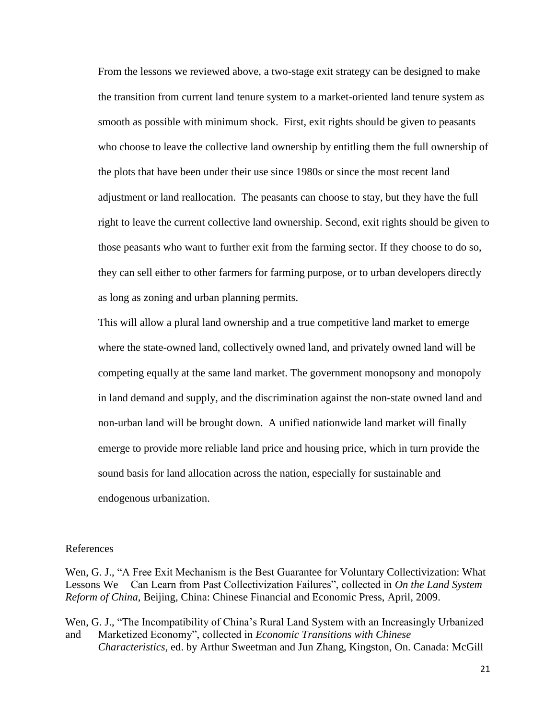From the lessons we reviewed above, a two-stage exit strategy can be designed to make the transition from current land tenure system to a market-oriented land tenure system as smooth as possible with minimum shock. First, exit rights should be given to peasants who choose to leave the collective land ownership by entitling them the full ownership of the plots that have been under their use since 1980s or since the most recent land adjustment or land reallocation. The peasants can choose to stay, but they have the full right to leave the current collective land ownership. Second, exit rights should be given to those peasants who want to further exit from the farming sector. If they choose to do so, they can sell either to other farmers for farming purpose, or to urban developers directly as long as zoning and urban planning permits.

This will allow a plural land ownership and a true competitive land market to emerge where the state-owned land, collectively owned land, and privately owned land will be competing equally at the same land market. The government monopsony and monopoly in land demand and supply, and the discrimination against the non-state owned land and non-urban land will be brought down. A unified nationwide land market will finally emerge to provide more reliable land price and housing price, which in turn provide the sound basis for land allocation across the nation, especially for sustainable and endogenous urbanization.

#### References

Wen, G. J., "A Free Exit Mechanism is the Best Guarantee for Voluntary Collectivization: What Lessons We Can Learn from Past Collectivization Failures", collected in *On the Land System Reform of China*, Beijing, China: Chinese Financial and Economic Press, April, 2009.

Wen, G. J., "The Incompatibility of China's Rural Land System with an Increasingly Urbanized and Marketized Economy", collected in *Economic Transitions with Chinese Characteristics*, ed. by Arthur Sweetman and Jun Zhang, Kingston, On. Canada: McGill